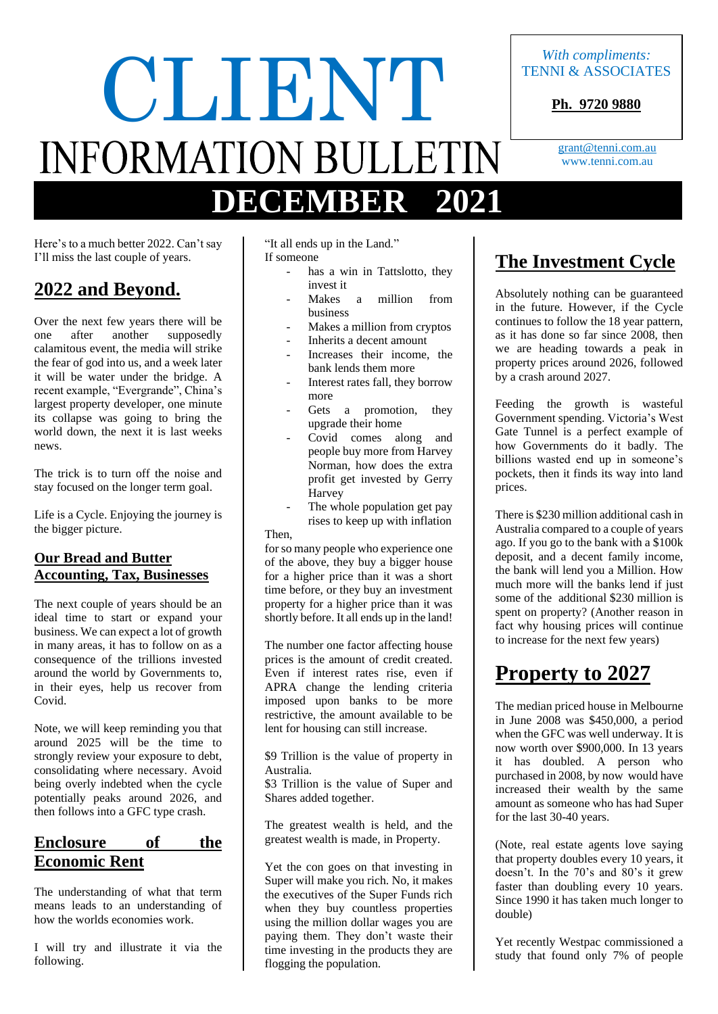# CLIENT *With compliments:* **DECEMBER 2021**

TENNI & ASSOCIATES

**Ph. 9720 9880**

[grant@tenni.com.au](mailto:grant@tenni.com.au) www.tenni.com.au

Here's to a much better 2022. Can't say I'll miss the last couple of years.

## **2022 and Beyond.**

Over the next few years there will be<br>one after another supposedly one after another calamitous event, the media will strike the fear of god into us, and a week later it will be water under the bridge. A recent example, "Evergrande", China's largest property developer, one minute its collapse was going to bring the world down, the next it is last weeks news.

The trick is to turn off the noise and stay focused on the longer term goal.

Life is a Cycle. Enjoying the journey is the bigger picture.

#### **Our Bread and Butter Accounting, Tax, Businesses**

The next couple of years should be an ideal time to start or expand your business. We can expect a lot of growth in many areas, it has to follow on as a consequence of the trillions invested around the world by Governments to, in their eyes, help us recover from Covid.

Note, we will keep reminding you that around 2025 will be the time to strongly review your exposure to debt, consolidating where necessary. Avoid being overly indebted when the cycle potentially peaks around 2026, and then follows into a GFC type crash.

#### **Enclosure of the Economic Rent**

The understanding of what that term means leads to an understanding of how the worlds economies work.

I will try and illustrate it via the following.

"It all ends up in the Land." If someone

- has a win in Tattslotto, they invest it
- Makes a million from business
- Makes a million from cryptos
- Inherits a decent amount
- Increases their income, the bank lends them more
- Interest rates fall, they borrow more
- Gets a promotion, they upgrade their home
- Covid comes along and people buy more from Harvey Norman, how does the extra profit get invested by Gerry Harvey
- The whole population get pay rises to keep up with inflation Then,

for so many people who experience one of the above, they buy a bigger house for a higher price than it was a short time before, or they buy an investment property for a higher price than it was shortly before. It all ends up in the land!

The number one factor affecting house prices is the amount of credit created. Even if interest rates rise, even if APRA change the lending criteria imposed upon banks to be more restrictive, the amount available to be lent for housing can still increase.

\$9 Trillion is the value of property in Australia.

\$3 Trillion is the value of Super and Shares added together.

The greatest wealth is held, and the greatest wealth is made, in Property.

Yet the con goes on that investing in Super will make you rich. No, it makes the executives of the Super Funds rich when they buy countless properties using the million dollar wages you are paying them. They don't waste their time investing in the products they are flogging the population.

## **The Investment Cycle**

Absolutely nothing can be guaranteed in the future. However, if the Cycle continues to follow the 18 year pattern, as it has done so far since 2008, then we are heading towards a peak in property prices around 2026, followed by a crash around 2027.

Feeding the growth is wasteful Government spending. Victoria's West Gate Tunnel is a perfect example of how Governments do it badly. The billions wasted end up in someone's pockets, then it finds its way into land prices.

There is \$230 million additional cash in Australia compared to a couple of years ago. If you go to the bank with a \$100k deposit, and a decent family income, the bank will lend you a Million. How much more will the banks lend if just some of the additional \$230 million is spent on property? (Another reason in fact why housing prices will continue to increase for the next few years)

## **Property to 2027**

The median priced house in Melbourne in June 2008 was \$450,000, a period when the GFC was well underway. It is now worth over \$900,000. In 13 years it has doubled. A person who purchased in 2008, by now would have increased their wealth by the same amount as someone who has had Super for the last 30-40 years.

(Note, real estate agents love saying that property doubles every 10 years, it doesn't. In the 70's and 80's it grew faster than doubling every 10 years. Since 1990 it has taken much longer to double)

Yet recently Westpac commissioned a study that found only 7% of people